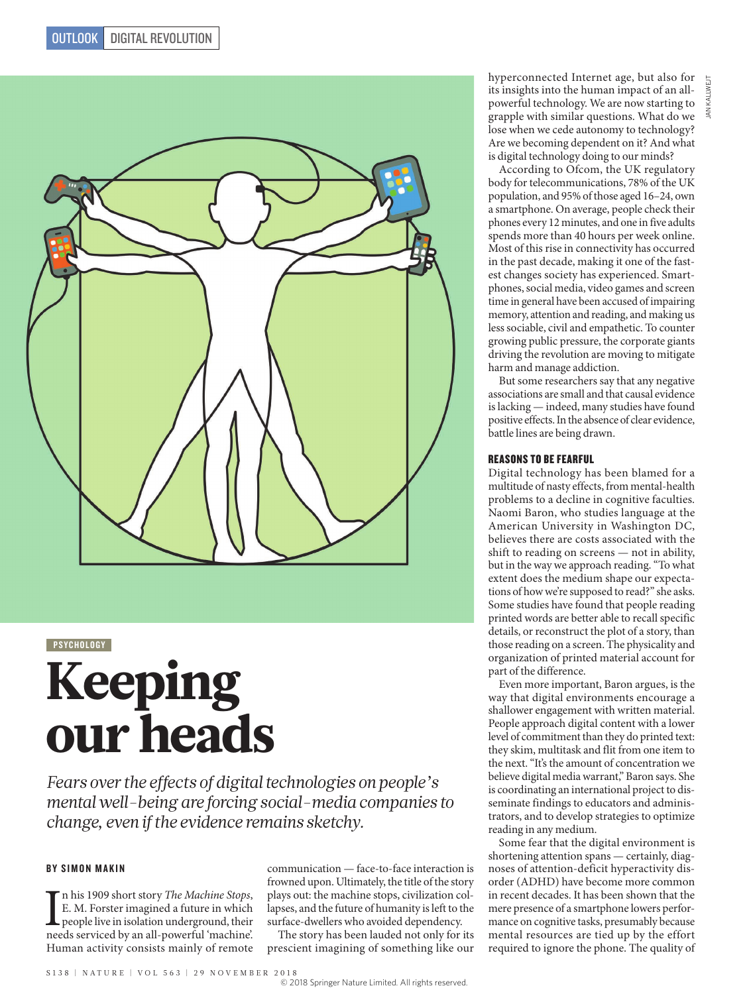

#### PSYCHOLOGY

# Keeping our heads

*Fears over the effects of digital technologies on people's mental well-being are forcing social-media companies to change, even if the evidence remains sketchy.*

#### BY SIMON MAKIN

 $\prod_{\text{P}}$ n his 1909 short story *The Machine Stops*, E. M. Forster imagined a future in which people live in isolation underground, their needs serviced by an all-powerful 'machine'. n his 1909 short story *The Machine Stops*, E. M. Forster imagined a future in which  $\blacktriangle$  people live in isolation underground, their Human activity consists mainly of remote

communication — face-to-face interaction is frowned upon. Ultimately, the title of the story plays out: the machine stops, civilization collapses, and the future of humanity is left to the surface-dwellers who avoided dependency.

The story has been lauded not only for its prescient imagining of something like our hyperconnected Internet age, but also for its insights into the human impact of an allpowerful technology. We are now starting to grapple with similar questions. What do we lose when we cede autonomy to technology? Are we becoming dependent on it? And what is digital technology doing to our minds?

According to Ofcom, the UK regulatory body for telecommunications, 78% of the UK population, and 95% of those aged 16–24, own a smartphone. On average, people check their phones every 12 minutes, and one in five adults spends more than 40 hours per week online. Most of this rise in connectivity has occurred in the past decade, making it one of the fastest changes society has experienced. Smartphones, social media, video games and screen time in general have been accused of impairing memory, attention and reading, and making us less sociable, civil and empathetic. To counter growing public pressure, the corporate giants driving the revolution are moving to mitigate harm and manage addiction.

But some researchers say that any negative associations are small and that causal evidence is lacking — indeed, many studies have found positive effects. In the absence of clear evidence, battle lines are being drawn.

### REASONS TO BE FEARFUL

Digital technology has been blamed for a multitude of nasty effects, from mental-health problems to a decline in cognitive faculties. Naomi Baron, who studies language at the American University in Washington DC, believes there are costs associated with the shift to reading on screens — not in ability, but in the way we approach reading. "To what extent does the medium shape our expectations of how we're supposed to read?" she asks. Some studies have found that people reading printed words are better able to recall specific details, or reconstruct the plot of a story, than those reading on a screen. The physicality and organization of printed material account for part of the difference.

Even more important, Baron argues, is the way that digital environments encourage a shallower engagement with written material. People approach digital content with a lower level of commitment than they do printed text: they skim, multitask and flit from one item to the next. "It's the amount of concentration we believe digital media warrant," Baron says. She is coordinating an international project to disseminate findings to educators and administrators, and to develop strategies to optimize reading in any medium.

Some fear that the digital environment is shortening attention spans — certainly, diagnoses of attention-deficit hyperactivity disorder (ADHD) have become more common in recent decades. It has been shown that the mere presence of a smartphone lowers performance on cognitive tasks, presumably because mental resources are tied up by the effort required to ignore the phone. The quality of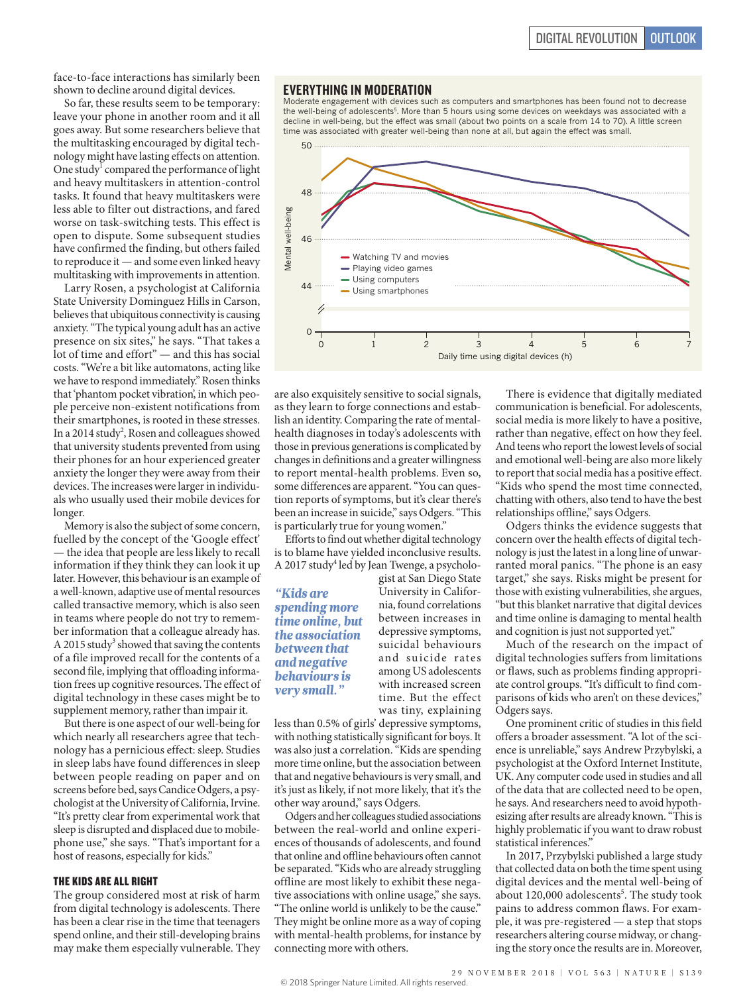face-to-face interactions has similarly been shown to decline around digital devices.

So far, these results seem to be temporary: leave your phone in another room and it all goes away. But some researchers believe that the multitasking encouraged by digital technology might have lasting effects on attention. One study<sup>1</sup> compared the performance of light and heavy multitaskers in attention-control tasks. It found that heavy multitaskers were less able to filter out distractions, and fared worse on task-switching tests. This effect is open to dispute. Some subsequent studies have confirmed the finding, but others failed to reproduce it — and some even linked heavy multitasking with improvements in attention.

Larry Rosen, a psychologist at California State University Dominguez Hills in Carson, believes that ubiquitous connectivity is causing anxiety. "The typical young adult has an active presence on six sites," he says. "That takes a lot of time and effort" — and this has social costs. "We're a bit like automatons, acting like we have to respond immediately." Rosen thinks that 'phantom pocket vibration', in which people perceive non-existent notifications from their smartphones, is rooted in these stresses. In a 2014 study<sup>2</sup>, Rosen and colleagues showed that university students prevented from using their phones for an hour experienced greater anxiety the longer they were away from their devices. The increases were larger in individuals who usually used their mobile devices for longer.

Memory is also the subject of some concern, fuelled by the concept of the 'Google effect' — the idea that people are less likely to recall information if they think they can look it up later. However, this behaviour is an example of a well-known, adaptive use of mental resources called transactive memory, which is also seen in teams where people do not try to remember information that a colleague already has. A 2015 study<sup>3</sup> showed that saving the contents of a file improved recall for the contents of a second file, implying that offloading information frees up cognitive resources. The effect of digital technology in these cases might be to supplement memory, rather than impair it.

But there is one aspect of our well-being for which nearly all researchers agree that technology has a pernicious effect: sleep. Studies in sleep labs have found differences in sleep between people reading on paper and on screens before bed, says Candice Odgers, a psychologist at the University of California, Irvine. "It's pretty clear from experimental work that sleep is disrupted and displaced due to mobilephone use," she says. "That's important for a host of reasons, especially for kids."

#### THE KIDS ARE ALL RIGHT

The group considered most at risk of harm from digital technology is adolescents. There has been a clear rise in the time that teenagers spend online, and their still-developing brains may make them especially vulnerable. They

# EVERYTHING IN MODERATION

Moderate engagement with devices such as computers and smartphones has been found not to decrease<br>the well-being of adolescents<sup>5</sup>. More than 5 hours using some devices on weekdays was associated with a decline in well-being, but the effect was small (about two points on a scale from 14 to 70). A little screen time was associated with greater well-being than none at all, but again the effect was small.



are also exquisitely sensitive to social signals, as they learn to forge connections and establish an identity. Comparing the rate of mentalhealth diagnoses in today's adolescents with those in previous generations is complicated by changes in definitions and a greater willingness to report mental-health problems. Even so, some differences are apparent. "You can question reports of symptoms, but it's clear there's been an increase in suicide," says Odgers. "This is particularly true for young women."

Efforts to find out whether digital technology is to blame have yielded inconclusive results. A 2017 study<sup>4</sup> led by Jean Twenge, a psycholo-

*"Kids are spending more time online, but the association between that and negative behaviours is very small."*

gist at San Diego State University in California, found correlations between increases in depressive symptoms, suicidal behaviours and suicide rates among US adolescents with increased screen time. But the effect was tiny, explaining

less than 0.5% of girls' depressive symptoms, with nothing statistically significant for boys. It was also just a correlation. "Kids are spending more time online, but the association between that and negative behaviours is very small, and it's just as likely, if not more likely, that it's the other way around," says Odgers.

Odgers and her colleagues studied associations between the real-world and online experiences of thousands of adolescents, and found that online and offline behaviours often cannot be separated. "Kids who are already struggling offline are most likely to exhibit these negative associations with online usage," she says. "The online world is unlikely to be the cause." They might be online more as a way of coping with mental-health problems, for instance by connecting more with others.

There is evidence that digitally mediated communication is beneficial. For adolescents, social media is more likely to have a positive, rather than negative, effect on how they feel. And teens who report the lowest levels of social and emotional well-being are also more likely to report that social media has a positive effect. "Kids who spend the most time connected, chatting with others, also tend to have the best relationships offline," says Odgers.

Odgers thinks the evidence suggests that concern over the health effects of digital technology is just the latest in a long line of unwarranted moral panics. "The phone is an easy target," she says. Risks might be present for those with existing vulnerabilities, she argues, "but this blanket narrative that digital devices and time online is damaging to mental health and cognition is just not supported yet."

Much of the research on the impact of digital technologies suffers from limitations or flaws, such as problems finding appropriate control groups. "It's difficult to find comparisons of kids who aren't on these devices," Odgers says.

One prominent critic of studies in this field offers a broader assessment. "A lot of the science is unreliable," says Andrew Przybylski, a psychologist at the Oxford Internet Institute, UK. Any computer code used in studies and all of the data that are collected need to be open, he says. And researchers need to avoid hypothesizing after results are already known. "This is highly problematic if you want to draw robust statistical inferences.'

In 2017, Przybylski published a large study that collected data on both the time spent using digital devices and the mental well-being of about 120,000 adolescents<sup>5</sup>. The study took pains to address common flaws. For example, it was pre-registered — a step that stops researchers altering course midway, or changing the story once the results are in. Moreover,